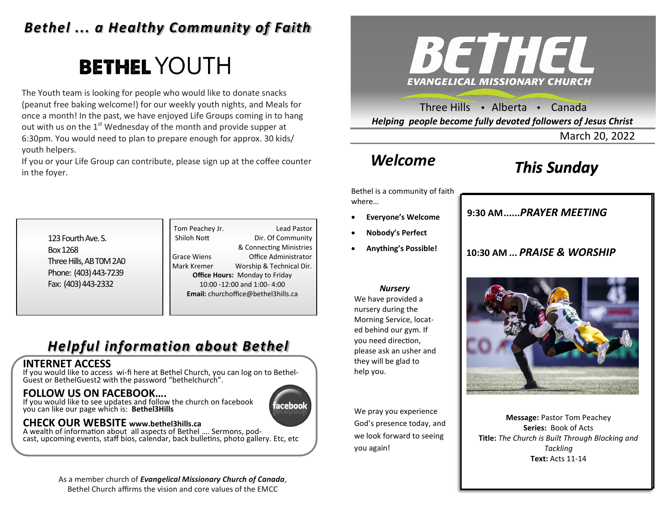## *Bethel ... a Healthy Community of Faith*

# **BETHEL YOUTH**

The Youth team is looking for people who would like to donate snacks (peanut free baking welcome!) for our weekly youth nights, and Meals for once a month! In the past, we have enjoyed Life Groups coming in to hang out with us on the  $1<sup>st</sup>$  Wednesday of the month and provide supper at 6:30pm. You would need to plan to prepare enough for approx. 30 kids/ youth helpers.

If you or your Life Group can contribute, please sign up at the coffee counter in the foyer.



Three Hills  $\rightarrow$  Alberta  $\rightarrow$  Canada *Helping people become fully devoted followers of Jesus Christ*

March 20, 2022

## *Welcome*

## *This Sunday*

Bethel is a community of faith where…

- **Everyone's Welcome**
- **Nobody's Perfect**
- **Anything's Possible!**

**9:30 AM......***SUNDAY SCHOOL* **9:30 AM......***PRAYER MEETING* 

**10:30 AM ...** *PRAISE & WORSHIP* 



We have provided a nursery during the Morning Service, located behind our gym. If you need direction, please ask an usher and they will be glad to help you.

We pray you experience God's presence today, and we look forward to seeing you again!



**Message:** Pastor Tom Peachey **Series:** Book of Acts **Title:** *The Church is Built Through Blocking and Tackling* **Text:** Acts 11-14

123 Fourth Ave. S. Box 1268 Three Hills, AB T0M 2A0 Phone: (403) 443-7239 Fax: (403) 443-2332

Tom Peachey Jr. **Lead Pastor** Shiloh Nott Dir. Of Community & Connecting Ministries Grace Wiens Office Administrator Mark Kremer Worship & Technical Dir. **Office Hours:** Monday to Friday 10:00 -12:00 and 1:00- 4:00 **Email:** churchoffice@bethel3hills.ca

## *Helpful information about Bethel*

### **INTERNET ACCESS**

If you would like to access wi-fi here at Bethel Church, you can log on to Bethel-Guest or BethelGuest2 with the password "bethelchurch".

### **FOLLOW US ON FACEBOOK….**

If you would like to see updates and follow the church on facebook you can like our page which is: **Bethel3Hills**



### **CHECK OUR WEBSITE www.bethel3hills.ca**

A wealth of information about all aspects of Bethel …. Sermons, podcast, upcoming events, staff bios, calendar, back bulletins, photo gallery. Etc, etc